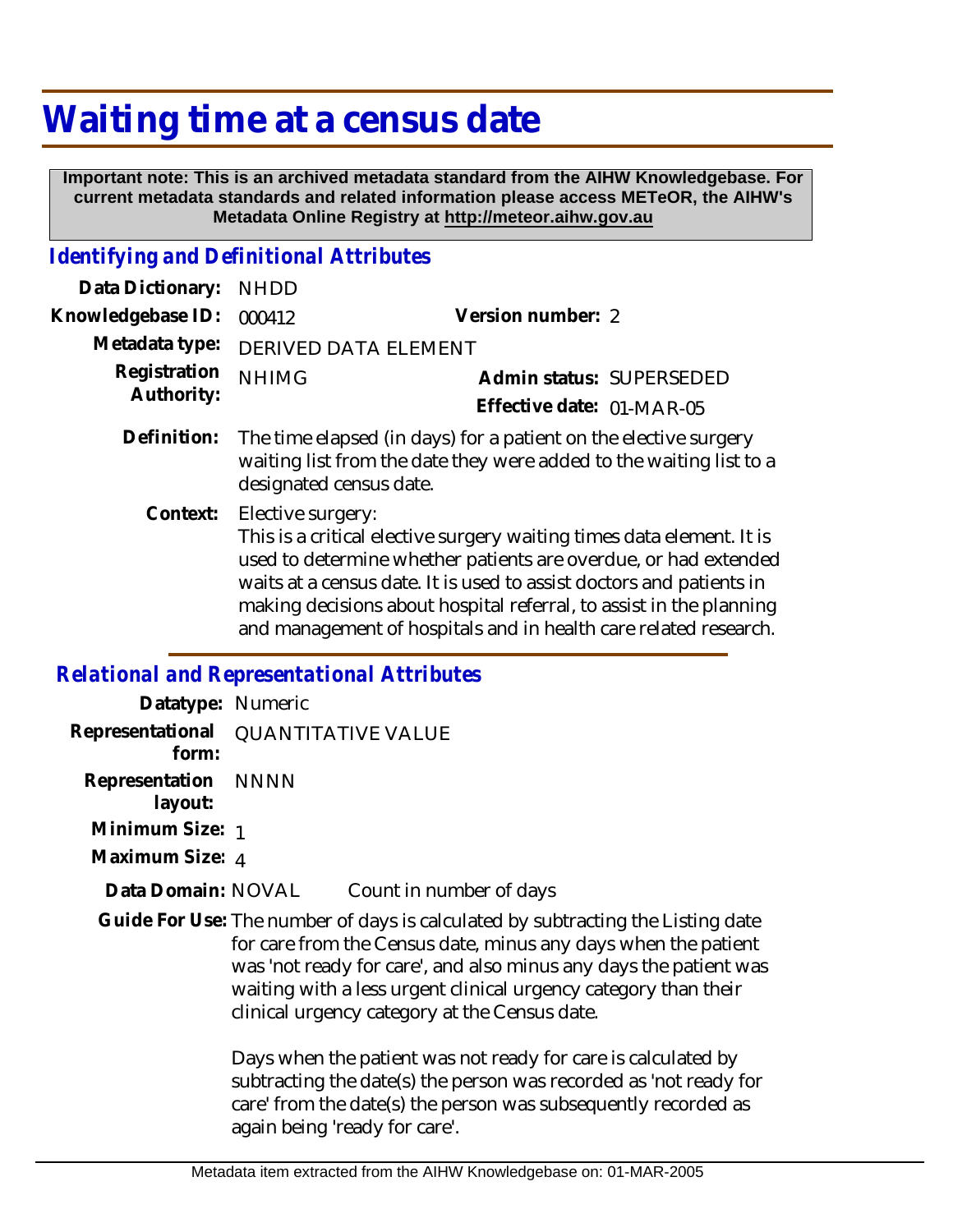# **Waiting time at a census date**

 **Important note: This is an archived metadata standard from the AIHW Knowledgebase. For current metadata standards and related information please access METeOR, the AIHW's Metadata Online Registry at http://meteor.aihw.gov.au**

## *Identifying and Definitional Attributes*

| Data Dictionary:           | <b>NHDD</b>                                                                                                                                                                                                                                                                                                                                                                               |                           |  |  |  |
|----------------------------|-------------------------------------------------------------------------------------------------------------------------------------------------------------------------------------------------------------------------------------------------------------------------------------------------------------------------------------------------------------------------------------------|---------------------------|--|--|--|
| Knowledgebase ID:          | 000412                                                                                                                                                                                                                                                                                                                                                                                    | Version number: 2         |  |  |  |
| Metadata type:             | <b>DERIVED DATA ELEMENT</b>                                                                                                                                                                                                                                                                                                                                                               |                           |  |  |  |
| Registration<br>Authority: | <b>NHIMG</b>                                                                                                                                                                                                                                                                                                                                                                              | Admin status: SUPERSEDED  |  |  |  |
|                            |                                                                                                                                                                                                                                                                                                                                                                                           | Effective date: 01-MAR-05 |  |  |  |
| Definition:                | The time elapsed (in days) for a patient on the elective surgery<br>waiting list from the date they were added to the waiting list to a<br>designated census date.                                                                                                                                                                                                                        |                           |  |  |  |
|                            | Context: Elective surgery:<br>This is a critical elective surgery waiting times data element. It is<br>used to determine whether patients are overdue, or had extended<br>waits at a census date. It is used to assist doctors and patients in<br>making decisions about hospital referral, to assist in the planning<br>and management of hospitals and in health care related research. |                           |  |  |  |

## *Relational and Representational Attributes*

| Datatype: Numeric                            |                                                                                                                                                                  |                                                                                                                                                                                                                        |  |
|----------------------------------------------|------------------------------------------------------------------------------------------------------------------------------------------------------------------|------------------------------------------------------------------------------------------------------------------------------------------------------------------------------------------------------------------------|--|
| Representational QUANTITATIVE VALUE<br>form: |                                                                                                                                                                  |                                                                                                                                                                                                                        |  |
| Representation NNNN<br>layout:               |                                                                                                                                                                  |                                                                                                                                                                                                                        |  |
| Minimum Size: 1                              |                                                                                                                                                                  |                                                                                                                                                                                                                        |  |
| Maximum Size: 4                              |                                                                                                                                                                  |                                                                                                                                                                                                                        |  |
| Data Domain: NOVAL                           | Count in number of days                                                                                                                                          |                                                                                                                                                                                                                        |  |
|                                              | waiting with a less urgent clinical urgency category than their<br>clinical urgency category at the Census date.                                                 | Guide For Use: The number of days is calculated by subtracting the Listing date<br>for care from the Census date, minus any days when the patient<br>was 'not ready for care', and also minus any days the patient was |  |
|                                              | Days when the patient was not ready for care is calculated by<br>care' from the date(s) the person was subsequently recorded as<br>again being 'ready for care'. | subtracting the date(s) the person was recorded as 'not ready for                                                                                                                                                      |  |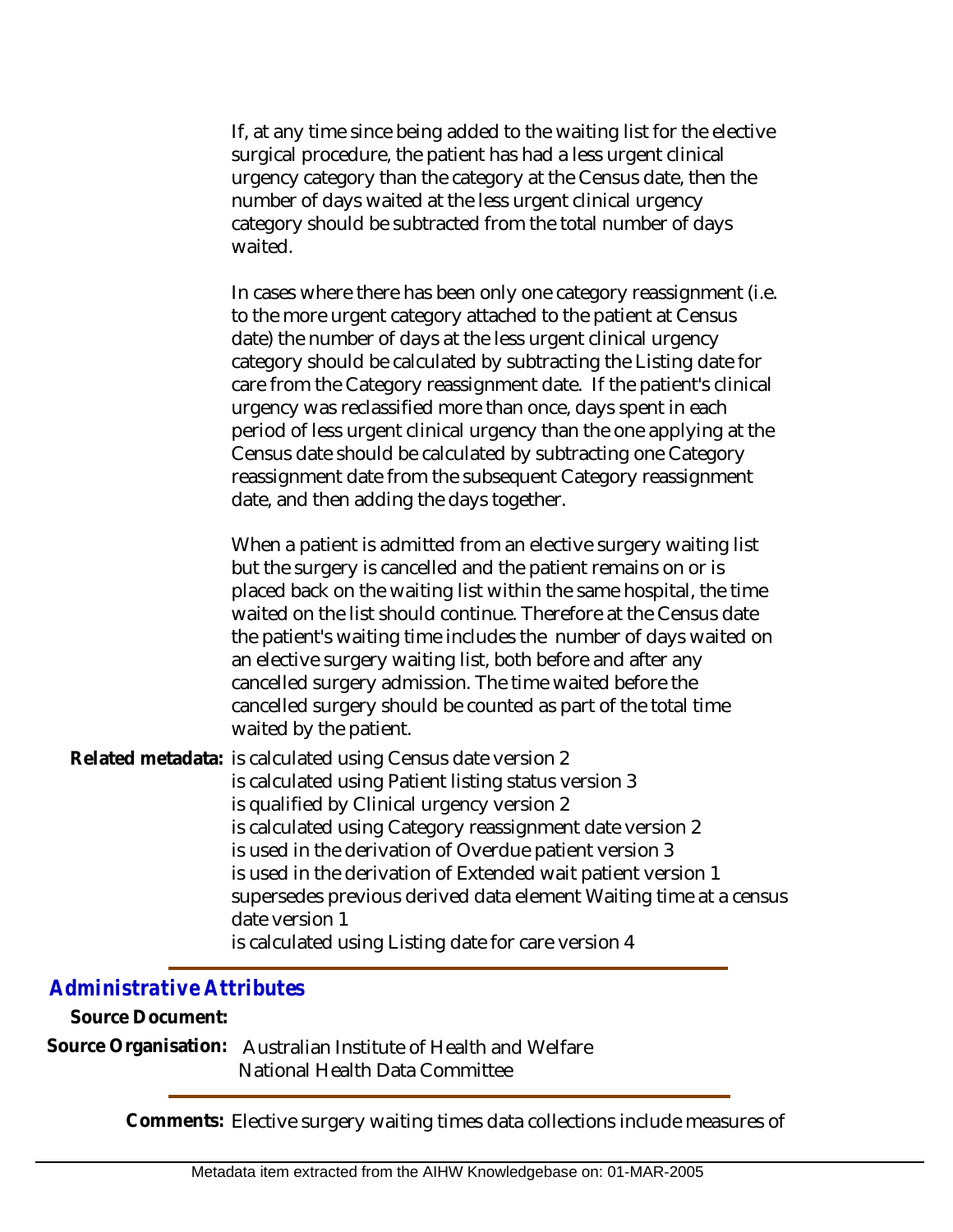If, at any time since being added to the waiting list for the elective surgical procedure, the patient has had a less urgent clinical urgency category than the category at the Census date, then the number of days waited at the less urgent clinical urgency category should be subtracted from the total number of days waited.

In cases where there has been only one category reassignment (i.e. to the more urgent category attached to the patient at Census date) the number of days at the less urgent clinical urgency category should be calculated by subtracting the Listing date for care from the Category reassignment date. If the patient's clinical urgency was reclassified more than once, days spent in each period of less urgent clinical urgency than the one applying at the Census date should be calculated by subtracting one Category reassignment date from the subsequent Category reassignment date, and then adding the days together.

When a patient is admitted from an elective surgery waiting list but the surgery is cancelled and the patient remains on or is placed back on the waiting list within the same hospital, the time waited on the list should continue. Therefore at the Census date the patient's waiting time includes the number of days waited on an elective surgery waiting list, both before and after any cancelled surgery admission. The time waited before the cancelled surgery should be counted as part of the total time waited by the patient.

Related metadata: is calculated using Census date version 2 is calculated using Patient listing status version 3 is qualified by Clinical urgency version 2 is calculated using Category reassignment date version 2 is used in the derivation of Overdue patient version 3 is used in the derivation of Extended wait patient version 1 supersedes previous derived data element Waiting time at a census date version 1 is calculated using Listing date for care version 4

### *Administrative Attributes*

**Source Document:**

Source Organisation: Australian Institute of Health and Welfare National Health Data Committee

**Comments:** Elective surgery waiting times data collections include measures of